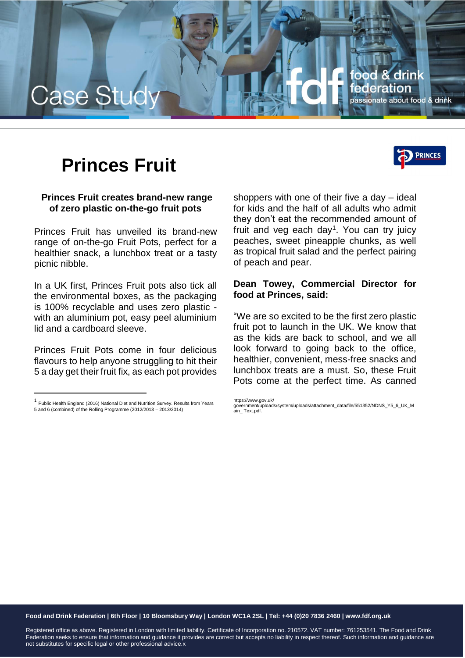

# **Princes Fruit**

## **Princes Fruit creates brand-new range of zero plastic on-the-go fruit pots**

Princes Fruit has unveiled its brand-new range of on-the-go Fruit Pots, perfect for a healthier snack, a lunchbox treat or a tasty picnic nibble.

In a UK first, Princes Fruit pots also tick all the environmental boxes, as the packaging is 100% recyclable and uses zero plastic with an aluminium pot, easy peel aluminium lid and a cardboard sleeve.

Princes Fruit Pots come in four delicious flavours to help anyone struggling to hit their 5 a day get their fruit fix, as each pot provides

l

shoppers with one of their five a day – ideal for kids and the half of all adults who admit they don't eat the recommended amount of fruit and veg each day<sup>1</sup>. You can try juicy peaches, sweet pineapple chunks, as well as tropical fruit salad and the perfect pairing of peach and pear.

### **Dean Towey, Commercial Director for food at Princes, said:**

"We are so excited to be the first zero plastic fruit pot to launch in the UK. We know that as the kids are back to school, and we all look forward to going back to the office, healthier, convenient, mess-free snacks and lunchbox treats are a must. So, these Fruit Pots come at the perfect time. As canned

https://www.gov.uk/

#### **Food and Drink Federation | 6th Floor | 10 Bloomsbury Way | London WC1A 2SL | Tel: +44 (0)20 7836 2460 | www.fdf.org.uk**

Registered office as above. Registered in London with limited liability. Certificate of Incorporation no. 210572. VAT number: 761253541. The Food and Drink Federation seeks to ensure that information and guidance it provides are correct but accepts no liability in respect thereof. Such information and guidance are not substitutes for specific legal or other professional advice.x



 $<sup>1</sup>$  Public Health England (2016) National Diet and Nutrition Survey. Results from Years</sup> 5 and 6 (combined) of the Rolling Programme (2012/2013 – 2013/2014)

government/uploads/system/uploads/attachment\_data/file/551352/NDNS\_Y5\_6\_UK\_M ain\_ Text.pdf.